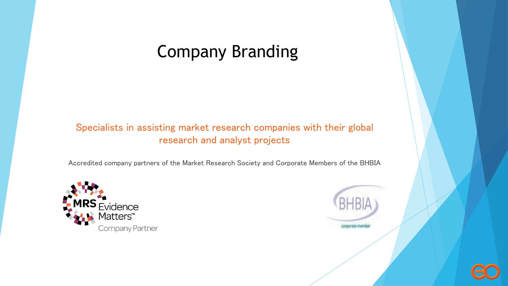#### Company Branding

#### Specialists in assisting market research companies with their global research and analyst projects

Accredited company partners of the Market Research Society and Corporate Members of the BHBIA





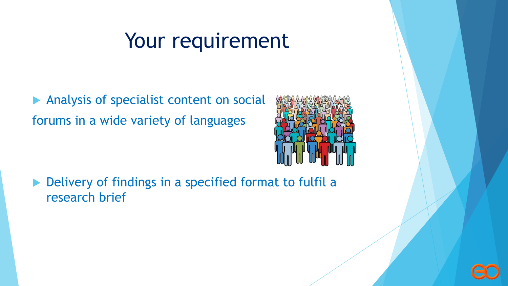# Your requirement

Analysis of specialist content on social forums in a wide variety of languages



▶ Delivery of findings in a specified format to fulfil a research brief

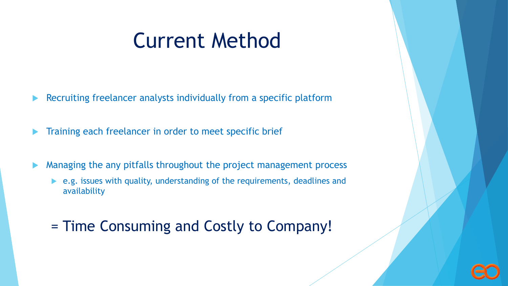# Current Method

- Recruiting freelancer analysts individually from a specific platform
- Training each freelancer in order to meet specific brief
- Managing the any pitfalls throughout the project management process
	- e.g. issues with quality, understanding of the requirements, deadlines and availability
	- = Time Consuming and Costly to Company!

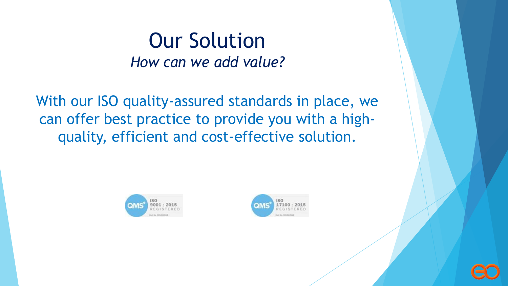### Our Solution *How can we add value?*

With our ISO quality-assured standards in place, we can offer best practice to provide you with a highquality, efficient and cost-effective solution.





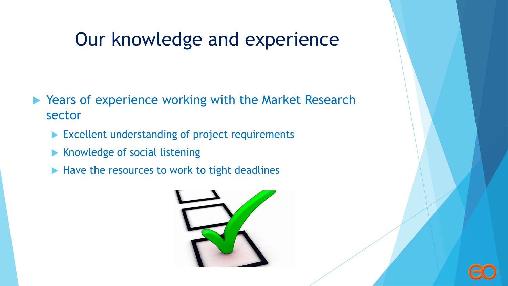## Our knowledge and experience

- ▶ Years of experience working with the Market Research sector
	- Excellent understanding of project requirements
	- $\blacktriangleright$  Knowledge of social listening
	- $\blacktriangleright$  Have the resources to work to tight deadlines



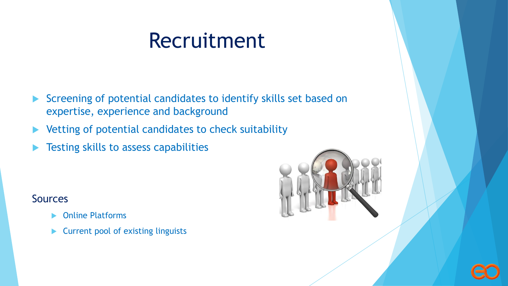# Recruitment

- Screening of potential candidates to identify skills set based on expertise, experience and background
- Vetting of potential candidates to check suitability
- Testing skills to assess capabilities

#### Sources

- Online Platforms
- ▶ Current pool of existing linguists



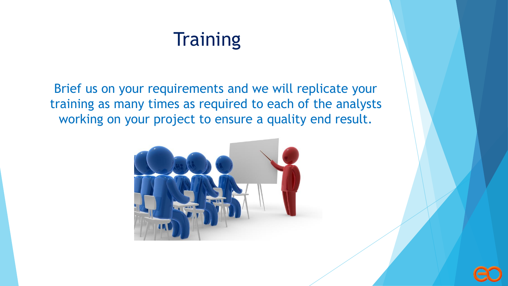# **Training**

Brief us on your requirements and we will replicate your training as many times as required to each of the analysts working on your project to ensure a quality end result.



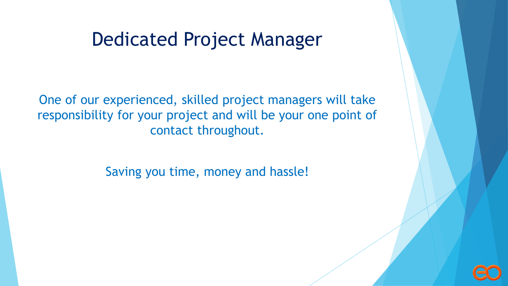#### Dedicated Project Manager

One of our experienced, skilled project managers will take responsibility for your project and will be your one point of contact throughout.

Saving you time, money and hassle!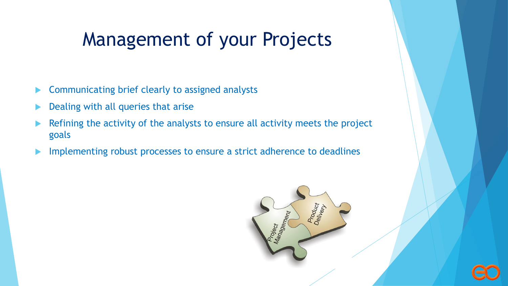# Management of your Projects

- **EXECOMMUNICATING DRAIGHT COMMUNICATION** Communicating brief clearly to assigned analysts
- Dealing with all queries that arise
- Refining the activity of the analysts to ensure all activity meets the project goals
- **IMPLEMENTIFY Implementing robust processes to ensure a strict adherence to deadlines**

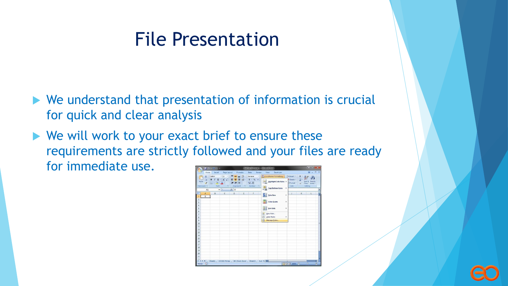# File Presentation

- We understand that presentation of information is crucial for quick and clear analysis
- $\blacktriangleright$  We will work to your exact brief to ensure these requirements are strictly followed and your files are ready for immediate use.

| $\mathbf{C}_{\mathbf{H}}$       |         | $10 - 0 - 0$                                                                                                               |               |                                        |          | Sub Box Bit Count 1 Microsoft Excel                            |                       |                          |   |                               |            | $m = 10 - X$                                  |             |
|---------------------------------|---------|----------------------------------------------------------------------------------------------------------------------------|---------------|----------------------------------------|----------|----------------------------------------------------------------|-----------------------|--------------------------|---|-------------------------------|------------|-----------------------------------------------|-------------|
|                                 | Home    | Insert                                                                                                                     | Page Layout   |                                        | Formulas | Data                                                           | View<br><b>Review</b> | Developer                |   |                               |            | $-0.1$<br>$\omega$                            |             |
|                                 | X       | Calibri                                                                                                                    | $-11$<br>٠    | <b>Bill</b> and                        | 潭        | General<br>$\overline{\phantom{a}}$                            |                       | Conditional Formatting - |   | ges Insert -                  | Σ          | A                                             |             |
| Paste<br>Clipboard <sup>1</sup> | ū.<br>I | $A^*$ $A^*$<br>$B$ $I$<br>$\overline{u}$<br>×<br>$\mathbb{H}$ - $\mathbb{Q}$ -<br>$A -$<br>Font<br>$\overline{\mathbf{u}}$ |               | 困<br>课 律 》<br>Alignment<br>$T_{\rm H}$ |          | $5 - \frac{9}{6}$ ,<br>$^{+6}$ $^{00}$<br>Number<br>$\sqrt{2}$ |                       | Highlight Cells Rules    |   | Delete -<br>Format -<br>Cells | 国<br>$2^r$ | Sort & Find &<br>Filter - Select -<br>Editing |             |
|                                 | A1      |                                                                                                                            | $\bullet$ (a) | $f_k$ 0                                |          |                                                                | H.                    | <b>Top/Bottom Rules</b>  | k |                               |            |                                               |             |
|                                 | A       | $\sf B$                                                                                                                    | $\mathsf{C}$  | D                                      | ε        | F                                                              | R                     | Data Bars                | r | Ф                             | K          | L                                             |             |
| 1                               | $\circ$ |                                                                                                                            |               |                                        |          |                                                                |                       |                          |   |                               |            |                                               |             |
| 2<br>$\overline{3}$             |         |                                                                                                                            |               |                                        |          |                                                                |                       | <b>Color Scales</b>      | ۶ |                               |            |                                               |             |
| 4                               |         |                                                                                                                            |               |                                        |          |                                                                |                       |                          |   |                               |            |                                               |             |
| $\overline{5}$                  |         |                                                                                                                            |               |                                        |          |                                                                |                       | <b>Jcon Sets</b>         | × |                               |            |                                               |             |
| 6                               |         |                                                                                                                            |               |                                        |          |                                                                |                       |                          |   |                               |            |                                               |             |
| $\overline{7}$                  |         |                                                                                                                            |               |                                        |          |                                                                | 西                     | New Rule                 |   |                               |            |                                               |             |
| $\mathbf{g}$                    |         |                                                                                                                            |               |                                        |          |                                                                | 吗                     | Clear Rules              | ٠ |                               |            |                                               |             |
| 9                               |         |                                                                                                                            |               |                                        |          |                                                                |                       | [H] Manage Rules         |   |                               |            |                                               |             |
| 10                              |         |                                                                                                                            |               |                                        |          |                                                                |                       |                          |   |                               |            |                                               |             |
| 11                              |         |                                                                                                                            |               |                                        |          |                                                                |                       |                          |   |                               |            |                                               |             |
| 12                              |         |                                                                                                                            |               |                                        |          |                                                                |                       |                          |   |                               |            |                                               |             |
| 13                              |         |                                                                                                                            |               |                                        |          |                                                                |                       |                          |   |                               |            |                                               |             |
| 14                              |         |                                                                                                                            |               |                                        |          |                                                                |                       |                          |   |                               |            |                                               |             |
| 15                              |         |                                                                                                                            |               |                                        |          |                                                                |                       |                          |   |                               |            |                                               |             |
| 16                              |         |                                                                                                                            |               |                                        |          |                                                                |                       |                          |   |                               |            |                                               |             |
| 17                              |         |                                                                                                                            |               |                                        |          |                                                                |                       |                          |   |                               |            |                                               |             |
| 18                              |         |                                                                                                                            |               |                                        |          |                                                                |                       |                          |   |                               |            |                                               |             |
| 19                              |         |                                                                                                                            |               |                                        |          |                                                                |                       |                          |   |                               |            |                                               |             |
| 20<br>21                        |         |                                                                                                                            |               |                                        |          |                                                                |                       |                          |   |                               |            |                                               |             |
| $\overline{22}$                 |         |                                                                                                                            |               |                                        |          |                                                                |                       |                          |   |                               |            |                                               |             |
| $H - 4$ <b>F</b> $H$            |         | Sheet1                                                                                                                     |               |                                        |          | 65536 Primes Bit Check Excel Sheet3                            | Sub Tal 4             |                          |   |                               |            |                                               | $> 1$       |
| Ready                           |         |                                                                                                                            |               |                                        |          |                                                                |                       |                          |   | (田田田 100% 一)                  |            | $-6 +$                                        | $\bigoplus$ |

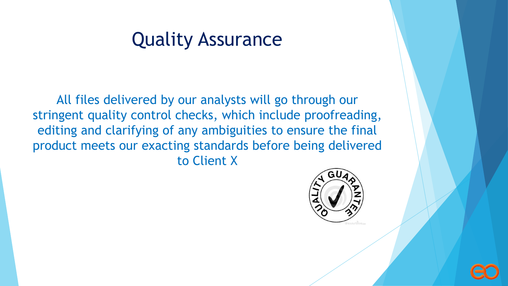## Quality Assurance

All files delivered by our analysts will go through our stringent quality control checks, which include proofreading, editing and clarifying of any ambiguities to ensure the final product meets our exacting standards before being delivered to Client X



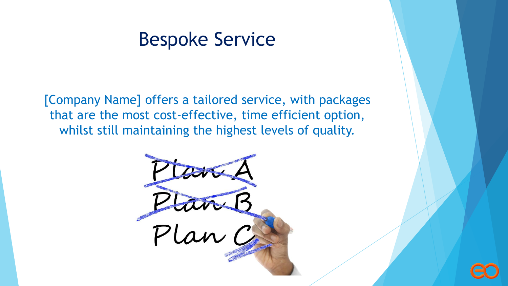## Bespoke Service

[Company Name] offers a tailored service, with packages that are the most cost-effective, time efficient option, whilst still maintaining the highest levels of quality.